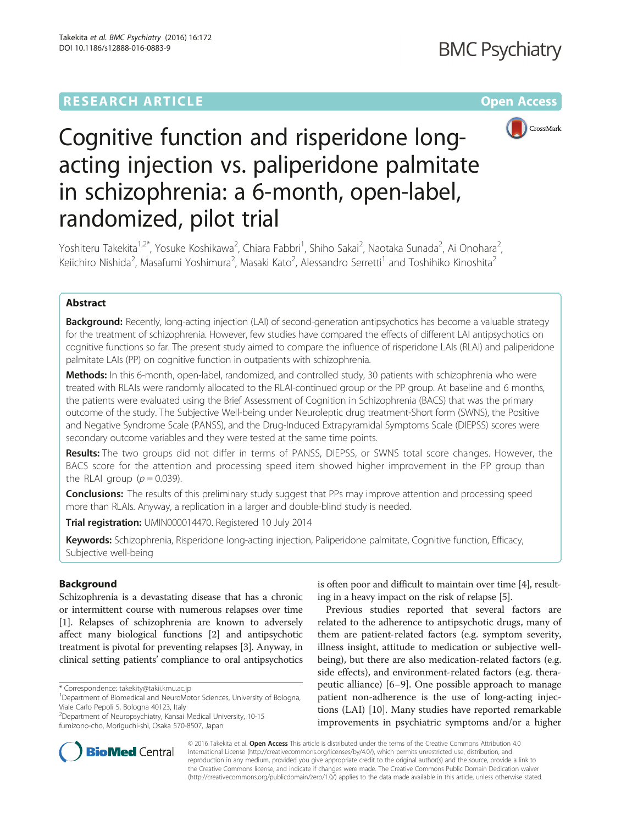## **RESEARCH ARTICLE External Structure Community Community Community Community Community Community Community Community**



# Cognitive function and risperidone longacting injection vs. paliperidone palmitate in schizophrenia: a 6-month, open-label, randomized, pilot trial

Yoshiteru Takekita<sup>1,2\*</sup>, Yosuke Koshikawa<sup>2</sup>, Chiara Fabbri<sup>1</sup>, Shiho Sakai<sup>2</sup>, Naotaka Sunada<sup>2</sup>, Ai Onohara<sup>2</sup> , Keiichiro Nishida<sup>2</sup>, Masafumi Yoshimura<sup>2</sup>, Masaki Kato<sup>2</sup>, Alessandro Serretti<sup>1</sup> and Toshihiko Kinoshita<sup>2</sup>

## Abstract

Background: Recently, long-acting injection (LAI) of second-generation antipsychotics has become a valuable strategy for the treatment of schizophrenia. However, few studies have compared the effects of different LAI antipsychotics on cognitive functions so far. The present study aimed to compare the influence of risperidone LAIs (RLAI) and paliperidone palmitate LAIs (PP) on cognitive function in outpatients with schizophrenia.

Methods: In this 6-month, open-label, randomized, and controlled study, 30 patients with schizophrenia who were treated with RLAIs were randomly allocated to the RLAI-continued group or the PP group. At baseline and 6 months, the patients were evaluated using the Brief Assessment of Cognition in Schizophrenia (BACS) that was the primary outcome of the study. The Subjective Well-being under Neuroleptic drug treatment-Short form (SWNS), the Positive and Negative Syndrome Scale (PANSS), and the Drug-Induced Extrapyramidal Symptoms Scale (DIEPSS) scores were secondary outcome variables and they were tested at the same time points.

Results: The two groups did not differ in terms of PANSS, DIEPSS, or SWNS total score changes. However, the BACS score for the attention and processing speed item showed higher improvement in the PP group than the RLAI group ( $p = 0.039$ ).

**Conclusions:** The results of this preliminary study suggest that PPs may improve attention and processing speed more than RLAIs. Anyway, a replication in a larger and double-blind study is needed.

Trial registration: [UMIN000014470.](https://upload.umin.ac.jp/cgi-open-bin/ctr/ctr.cgi?function=brows&action=brows&type=summary&recptno=R000014342&language=J) Registered 10 July 2014

Keywords: Schizophrenia, Risperidone long-acting injection, Paliperidone palmitate, Cognitive function, Efficacy, Subjective well-being

## Background

Schizophrenia is a devastating disease that has a chronic or intermittent course with numerous relapses over time [[1\]](#page-6-0). Relapses of schizophrenia are known to adversely affect many biological functions [\[2\]](#page-6-0) and antipsychotic treatment is pivotal for preventing relapses [\[3](#page-6-0)]. Anyway, in clinical setting patients' compliance to oral antipsychotics

\* Correspondence: [takekity@takii.kmu.ac.jp](mailto:takekity@takii.kmu.ac.jp) <sup>1</sup>

2 Department of Neuropsychiatry, Kansai Medical University, 10-15 fumizono-cho, Moriguchi-shi, Osaka 570-8507, Japan

is often poor and difficult to maintain over time [\[4](#page-6-0)], resulting in a heavy impact on the risk of relapse [[5\]](#page-6-0).

Previous studies reported that several factors are related to the adherence to antipsychotic drugs, many of them are patient-related factors (e.g. symptom severity, illness insight, attitude to medication or subjective wellbeing), but there are also medication-related factors (e.g. side effects), and environment-related factors (e.g. therapeutic alliance) [\[6](#page-6-0)–[9](#page-6-0)]. One possible approach to manage patient non-adherence is the use of long-acting injections (LAI) [[10\]](#page-6-0). Many studies have reported remarkable improvements in psychiatric symptoms and/or a higher



© 2016 Takekita et al. **Open Access** This article is distributed under the terms of the Creative Commons Attribution 4.0 International License [\(http://creativecommons.org/licenses/by/4.0/](http://creativecommons.org/licenses/by/4.0/)), which permits unrestricted use, distribution, and reproduction in any medium, provided you give appropriate credit to the original author(s) and the source, provide a link to the Creative Commons license, and indicate if changes were made. The Creative Commons Public Domain Dedication waiver [\(http://creativecommons.org/publicdomain/zero/1.0/](http://creativecommons.org/publicdomain/zero/1.0/)) applies to the data made available in this article, unless otherwise stated.

<sup>&</sup>lt;sup>1</sup>Department of Biomedical and NeuroMotor Sciences, University of Bologna, Viale Carlo Pepoli 5, Bologna 40123, Italy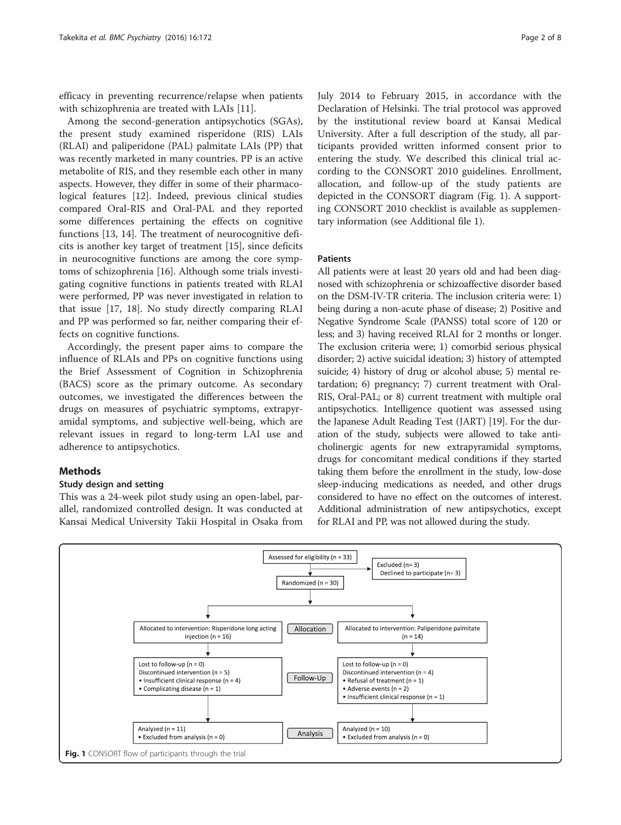<span id="page-1-0"></span>efficacy in preventing recurrence/relapse when patients with schizophrenia are treated with LAIs [\[11](#page-6-0)].

Among the second-generation antipsychotics (SGAs), the present study examined risperidone (RIS) LAIs (RLAI) and paliperidone (PAL) palmitate LAIs (PP) that was recently marketed in many countries. PP is an active metabolite of RIS, and they resemble each other in many aspects. However, they differ in some of their pharmacological features [[12\]](#page-6-0). Indeed, previous clinical studies compared Oral-RIS and Oral-PAL and they reported some differences pertaining the effects on cognitive functions [\[13, 14\]](#page-6-0). The treatment of neurocognitive deficits is another key target of treatment [\[15](#page-6-0)], since deficits in neurocognitive functions are among the core symptoms of schizophrenia [\[16](#page-6-0)]. Although some trials investigating cognitive functions in patients treated with RLAI were performed, PP was never investigated in relation to that issue [[17, 18](#page-6-0)]. No study directly comparing RLAI and PP was performed so far, neither comparing their effects on cognitive functions.

Accordingly, the present paper aims to compare the influence of RLAIs and PPs on cognitive functions using the Brief Assessment of Cognition in Schizophrenia (BACS) score as the primary outcome. As secondary outcomes, we investigated the differences between the drugs on measures of psychiatric symptoms, extrapyramidal symptoms, and subjective well-being, which are relevant issues in regard to long-term LAI use and adherence to antipsychotics.

## **Methods**

## Study design and setting

This was a 24-week pilot study using an open-label, parallel, randomized controlled design. It was conducted at Kansai Medical University Takii Hospital in Osaka from July 2014 to February 2015, in accordance with the Declaration of Helsinki. The trial protocol was approved by the institutional review board at Kansai Medical University. After a full description of the study, all participants provided written informed consent prior to entering the study. We described this clinical trial according to the CONSORT 2010 guidelines. Enrollment, allocation, and follow-up of the study patients are depicted in the CONSORT diagram (Fig. 1). A supporting CONSORT 2010 checklist is available as supplementary information (see Additional file [1\)](#page-5-0).

## Patients

All patients were at least 20 years old and had been diagnosed with schizophrenia or schizoaffective disorder based on the DSM-IV-TR criteria. The inclusion criteria were: 1) being during a non-acute phase of disease; 2) Positive and Negative Syndrome Scale (PANSS) total score of 120 or less; and 3) having received RLAI for 2 months or longer. The exclusion criteria were; 1) comorbid serious physical disorder; 2) active suicidal ideation; 3) history of attempted suicide; 4) history of drug or alcohol abuse; 5) mental retardation; 6) pregnancy; 7) current treatment with Oral-RIS, Oral-PAL; or 8) current treatment with multiple oral antipsychotics. Intelligence quotient was assessed using the Japanese Adult Reading Test (JART) [\[19\]](#page-6-0). For the duration of the study, subjects were allowed to take anticholinergic agents for new extrapyramidal symptoms, drugs for concomitant medical conditions if they started taking them before the enrollment in the study, low-dose sleep-inducing medications as needed, and other drugs considered to have no effect on the outcomes of interest. Additional administration of new antipsychotics, except for RLAI and PP, was not allowed during the study.

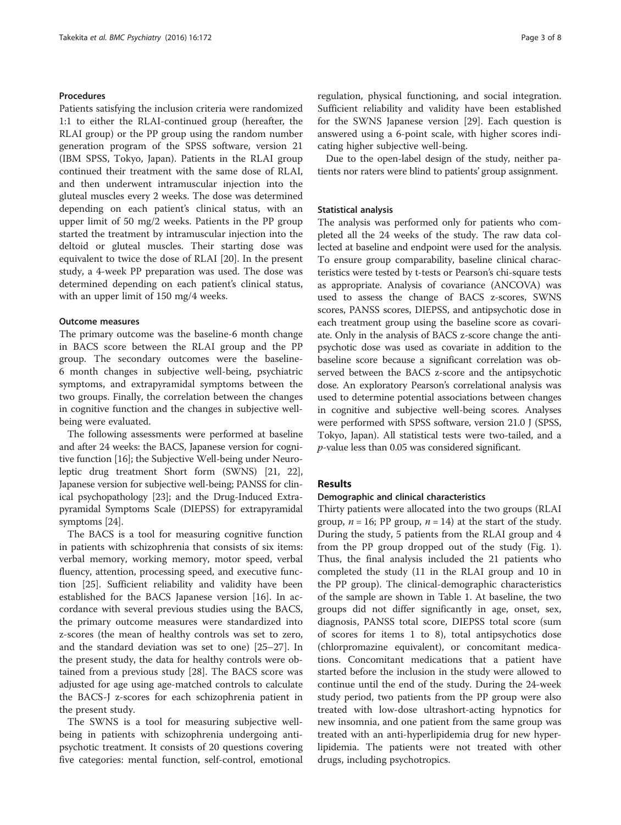## Procedures

Patients satisfying the inclusion criteria were randomized 1:1 to either the RLAI-continued group (hereafter, the RLAI group) or the PP group using the random number generation program of the SPSS software, version 21 (IBM SPSS, Tokyo, Japan). Patients in the RLAI group continued their treatment with the same dose of RLAI, and then underwent intramuscular injection into the gluteal muscles every 2 weeks. The dose was determined depending on each patient's clinical status, with an upper limit of 50 mg/2 weeks. Patients in the PP group started the treatment by intramuscular injection into the deltoid or gluteal muscles. Their starting dose was equivalent to twice the dose of RLAI [[20](#page-6-0)]. In the present study, a 4-week PP preparation was used. The dose was determined depending on each patient's clinical status, with an upper limit of 150 mg/4 weeks.

## Outcome measures

The primary outcome was the baseline-6 month change in BACS score between the RLAI group and the PP group. The secondary outcomes were the baseline-6 month changes in subjective well-being, psychiatric symptoms, and extrapyramidal symptoms between the two groups. Finally, the correlation between the changes in cognitive function and the changes in subjective wellbeing were evaluated.

The following assessments were performed at baseline and after 24 weeks: the BACS, Japanese version for cognitive function [[16](#page-6-0)]; the Subjective Well-being under Neuroleptic drug treatment Short form (SWNS) [[21](#page-6-0), [22](#page-6-0)], Japanese version for subjective well-being; PANSS for clinical psychopathology [\[23\]](#page-6-0); and the Drug-Induced Extrapyramidal Symptoms Scale (DIEPSS) for extrapyramidal symptoms [[24](#page-6-0)].

The BACS is a tool for measuring cognitive function in patients with schizophrenia that consists of six items: verbal memory, working memory, motor speed, verbal fluency, attention, processing speed, and executive function [[25\]](#page-6-0). Sufficient reliability and validity have been established for the BACS Japanese version [\[16](#page-6-0)]. In accordance with several previous studies using the BACS, the primary outcome measures were standardized into z-scores (the mean of healthy controls was set to zero, and the standard deviation was set to one) [[25](#page-6-0)–[27](#page-7-0)]. In the present study, the data for healthy controls were obtained from a previous study [[28\]](#page-7-0). The BACS score was adjusted for age using age-matched controls to calculate the BACS-J z-scores for each schizophrenia patient in the present study.

The SWNS is a tool for measuring subjective wellbeing in patients with schizophrenia undergoing antipsychotic treatment. It consists of 20 questions covering five categories: mental function, self-control, emotional regulation, physical functioning, and social integration. Sufficient reliability and validity have been established for the SWNS Japanese version [\[29\]](#page-7-0). Each question is answered using a 6-point scale, with higher scores indicating higher subjective well-being.

Due to the open-label design of the study, neither patients nor raters were blind to patients' group assignment.

## Statistical analysis

The analysis was performed only for patients who completed all the 24 weeks of the study. The raw data collected at baseline and endpoint were used for the analysis. To ensure group comparability, baseline clinical characteristics were tested by t-tests or Pearson's chi-square tests as appropriate. Analysis of covariance (ANCOVA) was used to assess the change of BACS z-scores, SWNS scores, PANSS scores, DIEPSS, and antipsychotic dose in each treatment group using the baseline score as covariate. Only in the analysis of BACS z-score change the antipsychotic dose was used as covariate in addition to the baseline score because a significant correlation was observed between the BACS z-score and the antipsychotic dose. An exploratory Pearson's correlational analysis was used to determine potential associations between changes in cognitive and subjective well-being scores. Analyses were performed with SPSS software, version 21.0 J (SPSS, Tokyo, Japan). All statistical tests were two-tailed, and a p-value less than 0.05 was considered significant.

## Results

#### Demographic and clinical characteristics

Thirty patients were allocated into the two groups (RLAI group,  $n = 16$ ; PP group,  $n = 14$ ) at the start of the study. During the study, 5 patients from the RLAI group and 4 from the PP group dropped out of the study (Fig. [1](#page-1-0)). Thus, the final analysis included the 21 patients who completed the study (11 in the RLAI group and 10 in the PP group). The clinical-demographic characteristics of the sample are shown in Table [1.](#page-3-0) At baseline, the two groups did not differ significantly in age, onset, sex, diagnosis, PANSS total score, DIEPSS total score (sum of scores for items 1 to 8), total antipsychotics dose (chlorpromazine equivalent), or concomitant medications. Concomitant medications that a patient have started before the inclusion in the study were allowed to continue until the end of the study. During the 24-week study period, two patients from the PP group were also treated with low-dose ultrashort-acting hypnotics for new insomnia, and one patient from the same group was treated with an anti-hyperlipidemia drug for new hyperlipidemia. The patients were not treated with other drugs, including psychotropics.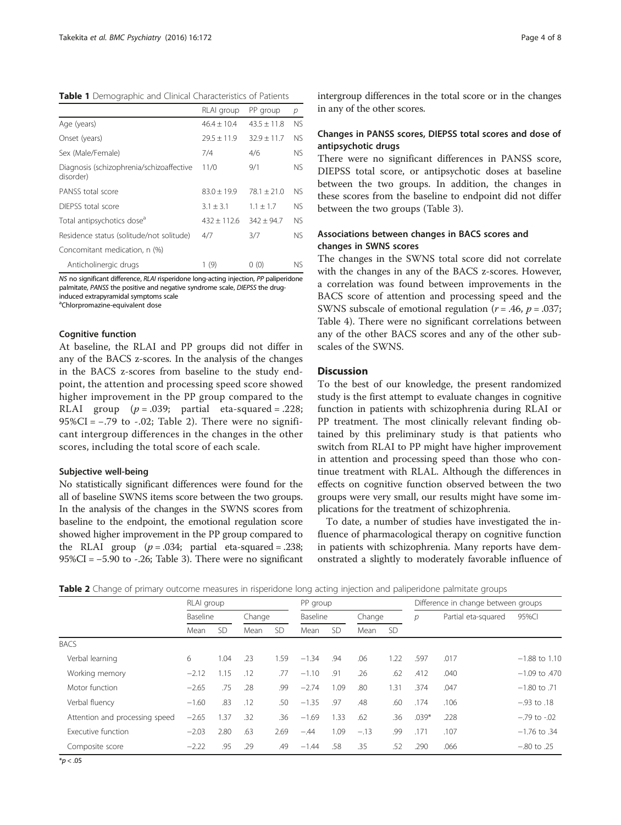<span id="page-3-0"></span>Table 1 Demographic and Clinical Characteristics of Patients

|                                                       | RLAI group    | PP group      | р   |
|-------------------------------------------------------|---------------|---------------|-----|
| Age (years)                                           | $46.4 + 10.4$ | $43.5 + 11.8$ | NS. |
| Onset (years)                                         | $79.5 + 11.9$ | $32.9 + 11.7$ | NS. |
| Sex (Male/Female)                                     | 7/4           | 4/6           | NS. |
| Diagnosis (schizophrenia/schizoaffective<br>disorder) | 11/0          | 9/1           | NS. |
| PANSS total score                                     | $83.0 + 19.9$ | $78.1 + 21.0$ | NS. |
| DIFPSS total score                                    | $3.1 \pm 3.1$ | $1.1 + 1.7$   | NS. |
| Total antipsychotics dose <sup>a</sup>                | $432 + 112.6$ | $342 + 94.7$  | NS. |
| Residence status (solitude/not solitude)              | 4/7           | 3/7           | NS. |
| Concomitant medication, n (%)                         |               |               |     |
| Anticholinergic drugs                                 | 1(9)          | 0(0)          | NS. |

NS no significant difference, RLAI risperidone long-acting injection, PP paliperidone palmitate, PANSS the positive and negative syndrome scale, DIEPSS the druginduced extrapyramidal symptoms scale

a Chlorpromazine-equivalent dose

## Cognitive function

At baseline, the RLAI and PP groups did not differ in any of the BACS z-scores. In the analysis of the changes in the BACS z-scores from baseline to the study endpoint, the attention and processing speed score showed higher improvement in the PP group compared to the RLAI group  $(p=.039;$  partial eta-squared = .228;  $95\%CI = -.79$  to  $-.02$ ; Table 2). There were no significant intergroup differences in the changes in the other scores, including the total score of each scale.

## Subjective well-being

No statistically significant differences were found for the all of baseline SWNS items score between the two groups. In the analysis of the changes in the SWNS scores from baseline to the endpoint, the emotional regulation score showed higher improvement in the PP group compared to the RLAI group  $(p=.034;$  partial eta-squared = .238;  $95\%CI = -5.90$  to  $-.26$ ; Table [3\)](#page-4-0). There were no significant

intergroup differences in the total score or in the changes in any of the other scores.

## Changes in PANSS scores, DIEPSS total scores and dose of antipsychotic drugs

There were no significant differences in PANSS score, DIEPSS total score, or antipsychotic doses at baseline between the two groups. In addition, the changes in these scores from the baseline to endpoint did not differ between the two groups (Table [3](#page-4-0)).

## Associations between changes in BACS scores and changes in SWNS scores

The changes in the SWNS total score did not correlate with the changes in any of the BACS z-scores. However, a correlation was found between improvements in the BACS score of attention and processing speed and the SWNS subscale of emotional regulation ( $r = .46$ ,  $p = .037$ ; Table [4](#page-4-0)). There were no significant correlations between any of the other BACS scores and any of the other subscales of the SWNS.

## **Discussion**

To the best of our knowledge, the present randomized study is the first attempt to evaluate changes in cognitive function in patients with schizophrenia during RLAI or PP treatment. The most clinically relevant finding obtained by this preliminary study is that patients who switch from RLAI to PP might have higher improvement in attention and processing speed than those who continue treatment with RLAL. Although the differences in effects on cognitive function observed between the two groups were very small, our results might have some implications for the treatment of schizophrenia.

To date, a number of studies have investigated the influence of pharmacological therapy on cognitive function in patients with schizophrenia. Many reports have demonstrated a slightly to moderately favorable influence of

|  |  | Table 2 Change of primary outcome measures in risperidone long acting injection and paliperidone palmitate groups |  |  |  |  |  |
|--|--|-------------------------------------------------------------------------------------------------------------------|--|--|--|--|--|
|  |  |                                                                                                                   |  |  |  |  |  |

|                                | RLAI group |           |        |      | PP group |           |        |           | Difference in change between groups |                     |                   |  |
|--------------------------------|------------|-----------|--------|------|----------|-----------|--------|-----------|-------------------------------------|---------------------|-------------------|--|
|                                | Baseline   |           | Change |      | Baseline |           | Change |           | $\mathcal{D}$                       | Partial eta-squared | 95%CI             |  |
|                                | Mean       | <b>SD</b> | Mean   | -SD  | Mean     | <b>SD</b> | Mean   | <b>SD</b> |                                     |                     |                   |  |
| <b>BACS</b>                    |            |           |        |      |          |           |        |           |                                     |                     |                   |  |
| Verbal learning                | 6          | 1.04      | .23    | 1.59 | $-1.34$  | .94       | .06    | 1.22      | .597                                | .017                | $-1.88$ to 1.10   |  |
| Working memory                 | $-2.12$    | 1.15      | .12    | 77   | $-1.10$  | .91       | .26    | .62       | .412                                | .040                | $-1.09$ to $.470$ |  |
| Motor function                 | $-2.65$    | .75       | .28    | .99  | $-2.74$  | 1.09      | .80    | 1.31      | .374                                | .047                | $-1.80$ to .71    |  |
| Verbal fluency                 | $-1.60$    | .83       | .12    | .50  | $-1.35$  | .97       | .48    | .60       | .174                                | .106                | $-.93$ to $.18$   |  |
| Attention and processing speed | $-2.65$    | 1.37      | .32    | .36  | $-1.69$  | 1.33      | .62    | .36       | $.039*$                             | .228                | $-.79$ to $-.02$  |  |
| Executive function             | $-2.03$    | 2.80      | .63    | 2.69 | $-.44$   | 1.09      | $-.13$ | .99       | .171                                | .107                | $-1.76$ to .34    |  |
| Composite score                | $-2.22$    | .95       | .29    | .49  | $-1.44$  | .58       | .35    | .52       | .290                                | .066                | $-.80$ to $.25$   |  |

 $*p < .05$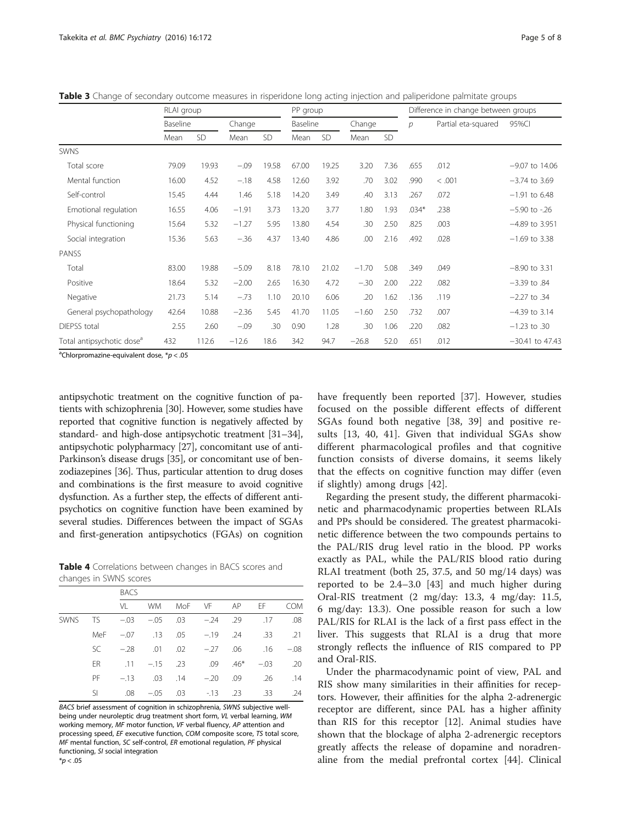|                                       | RLAI group |       | PP group |       |       |          | Difference in change between groups |        |         |                     |                   |  |
|---------------------------------------|------------|-------|----------|-------|-------|----------|-------------------------------------|--------|---------|---------------------|-------------------|--|
|                                       | Baseline   |       | Change   |       |       | Baseline |                                     | Change |         | Partial eta-squared | 95%CI             |  |
|                                       | Mean       | SD    | Mean     | SD    | Mean  | SD       | Mean                                | SD     |         |                     |                   |  |
| <b>SWNS</b>                           |            |       |          |       |       |          |                                     |        |         |                     |                   |  |
| Total score                           | 79.09      | 19.93 | $-.09$   | 19.58 | 67.00 | 19.25    | 3.20                                | 7.36   | .655    | .012                | $-9.07$ to 14.06  |  |
| Mental function                       | 16.00      | 4.52  | $-.18$   | 4.58  | 12.60 | 3.92     | .70                                 | 3.02   | .990    | < .001              | $-3.74$ to 3.69   |  |
| Self-control                          | 15.45      | 4.44  | 1.46     | 5.18  | 14.20 | 3.49     | .40                                 | 3.13   | .267    | .072                | $-1.91$ to 6.48   |  |
| Emotional regulation                  | 16.55      | 4.06  | $-1.91$  | 3.73  | 13.20 | 3.77     | 1.80                                | 1.93   | $.034*$ | .238                | $-5.90$ to $-.26$ |  |
| Physical functioning                  | 15.64      | 5.32  | $-1.27$  | 5.95  | 13.80 | 4.54     | .30                                 | 2.50   | .825    | .003                | $-4.89$ to 3.951  |  |
| Social integration                    | 15.36      | 5.63  | $-.36$   | 4.37  | 13.40 | 4.86     | .00                                 | 2.16   | .492    | .028                | $-1.69$ to 3.38   |  |
| PANSS                                 |            |       |          |       |       |          |                                     |        |         |                     |                   |  |
| Total                                 | 83.00      | 19.88 | $-5.09$  | 8.18  | 78.10 | 21.02    | $-1.70$                             | 5.08   | .349    | .049                | $-8.90$ to 3.31   |  |
| Positive                              | 18.64      | 5.32  | $-2.00$  | 2.65  | 16.30 | 4.72     | $-.30$                              | 2.00   | .222    | .082                | $-3.39$ to $.84$  |  |
| Negative                              | 21.73      | 5.14  | $-.73$   | 1.10  | 20.10 | 6.06     | .20                                 | 1.62   | .136    | .119                | $-2.27$ to $.34$  |  |
| General psychopathology               | 42.64      | 10.88 | $-2.36$  | 5.45  | 41.70 | 11.05    | $-1.60$                             | 2.50   | .732    | .007                | $-4.39$ to 3.14   |  |
| <b>DIEPSS</b> total                   | 2.55       | 2.60  | $-.09$   | .30   | 0.90  | 1.28     | .30                                 | 1.06   | .220    | .082                | $-1.23$ to $.30$  |  |
| Total antipsychotic dose <sup>a</sup> | 432        | 112.6 | $-12.6$  | 18.6  | 342   | 94.7     | $-26.8$                             | 52.0   | .651    | .012                | $-30.41$ to 47.43 |  |

<span id="page-4-0"></span>Table 3 Change of secondary outcome measures in risperidone long acting injection and paliperidone palmitate groups

<sup>a</sup>Chlorpromazine-equivalent dose,  $* p < .05$ 

antipsychotic treatment on the cognitive function of patients with schizophrenia [[30](#page-7-0)]. However, some studies have reported that cognitive function is negatively affected by standard- and high-dose antipsychotic treatment [\[31](#page-7-0)–[34](#page-7-0)], antipsychotic polypharmacy [\[27\]](#page-7-0), concomitant use of anti-Parkinson's disease drugs [\[35\]](#page-7-0), or concomitant use of benzodiazepines [\[36\]](#page-7-0). Thus, particular attention to drug doses and combinations is the first measure to avoid cognitive dysfunction. As a further step, the effects of different antipsychotics on cognitive function have been examined by several studies. Differences between the impact of SGAs and first-generation antipsychotics (FGAs) on cognition

Table 4 Correlations between changes in BACS scores and changes in SWNS scores

|  |     | <b>BACS</b> |                                             |  |                           |  |  |     |  |  |  |  |
|--|-----|-------------|---------------------------------------------|--|---------------------------|--|--|-----|--|--|--|--|
|  |     | VI          |                                             |  | WM MoF VF AP EF COM       |  |  |     |  |  |  |  |
|  |     |             | SWNS TS -03 -05 03 -24 29 17                |  |                           |  |  | .08 |  |  |  |  |
|  | MeF |             | -.07 .13 .05 -.19 .24 .33 .21               |  |                           |  |  |     |  |  |  |  |
|  | SC. |             | --28 .01 .02 --27 .06 .16 --08              |  |                           |  |  |     |  |  |  |  |
|  | FR. |             | $.11 - .15$ $.23$ $.09$ $.46*$ $-.03$ $.20$ |  |                           |  |  |     |  |  |  |  |
|  | PF  |             | -13 .03 .14 -.20 .09 .26                    |  |                           |  |  | .14 |  |  |  |  |
|  | SI  | .08         |                                             |  | $-.05$ .03 $-.13$ .23 .33 |  |  | .24 |  |  |  |  |

BACS brief assessment of cognition in schizophrenia, SWNS subjective wellbeing under neuroleptic drug treatment short form, VL verbal learning, WM working memory, MF motor function, VF verbal fluency, AP attention and processing speed, EF executive function, COM composite score, TS total score, MF mental function, SC self-control, ER emotional regulation, PF physical functioning, SI social integration

have frequently been reported [\[37](#page-7-0)]. However, studies focused on the possible different effects of different SGAs found both negative [[38, 39](#page-7-0)] and positive results [[13,](#page-6-0) [40, 41](#page-7-0)]. Given that individual SGAs show different pharmacological profiles and that cognitive function consists of diverse domains, it seems likely that the effects on cognitive function may differ (even if slightly) among drugs [[42\]](#page-7-0).

Regarding the present study, the different pharmacokinetic and pharmacodynamic properties between RLAIs and PPs should be considered. The greatest pharmacokinetic difference between the two compounds pertains to the PAL/RIS drug level ratio in the blood. PP works exactly as PAL, while the PAL/RIS blood ratio during RLAI treatment (both 25, 37.5, and 50 mg/14 days) was reported to be 2.4–3.0 [\[43](#page-7-0)] and much higher during Oral-RIS treatment (2 mg/day: 13.3, 4 mg/day: 11.5, 6 mg/day: 13.3). One possible reason for such a low PAL/RIS for RLAI is the lack of a first pass effect in the liver. This suggests that RLAI is a drug that more strongly reflects the influence of RIS compared to PP and Oral-RIS.

Under the pharmacodynamic point of view, PAL and RIS show many similarities in their affinities for receptors. However, their affinities for the alpha 2-adrenergic receptor are different, since PAL has a higher affinity than RIS for this receptor [[12](#page-6-0)]. Animal studies have shown that the blockage of alpha 2-adrenergic receptors greatly affects the release of dopamine and noradrenaline from the medial prefrontal cortex [[44\]](#page-7-0). Clinical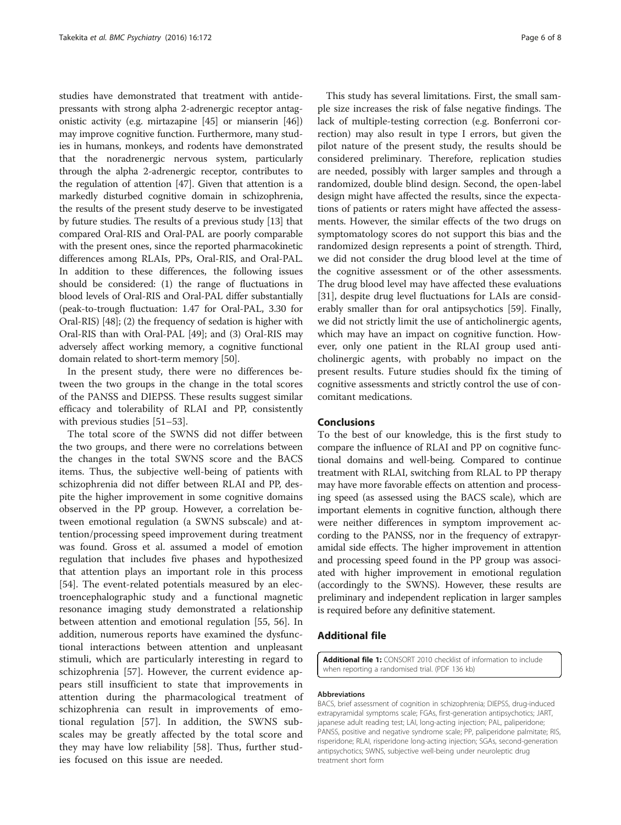<span id="page-5-0"></span>studies have demonstrated that treatment with antidepressants with strong alpha 2-adrenergic receptor antagonistic activity (e.g. mirtazapine [[45](#page-7-0)] or mianserin [[46](#page-7-0)]) may improve cognitive function. Furthermore, many studies in humans, monkeys, and rodents have demonstrated that the noradrenergic nervous system, particularly through the alpha 2-adrenergic receptor, contributes to the regulation of attention [\[47](#page-7-0)]. Given that attention is a markedly disturbed cognitive domain in schizophrenia, the results of the present study deserve to be investigated by future studies. The results of a previous study [\[13\]](#page-6-0) that compared Oral-RIS and Oral-PAL are poorly comparable with the present ones, since the reported pharmacokinetic differences among RLAIs, PPs, Oral-RIS, and Oral-PAL. In addition to these differences, the following issues should be considered: (1) the range of fluctuations in blood levels of Oral-RIS and Oral-PAL differ substantially (peak-to-trough fluctuation: 1.47 for Oral-PAL, 3.30 for Oral-RIS) [\[48\]](#page-7-0); (2) the frequency of sedation is higher with Oral-RIS than with Oral-PAL [[49](#page-7-0)]; and (3) Oral-RIS may adversely affect working memory, a cognitive functional domain related to short-term memory [\[50\]](#page-7-0).

In the present study, there were no differences between the two groups in the change in the total scores of the PANSS and DIEPSS. These results suggest similar efficacy and tolerability of RLAI and PP, consistently with previous studies [\[51](#page-7-0)–[53](#page-7-0)].

The total score of the SWNS did not differ between the two groups, and there were no correlations between the changes in the total SWNS score and the BACS items. Thus, the subjective well-being of patients with schizophrenia did not differ between RLAI and PP, despite the higher improvement in some cognitive domains observed in the PP group. However, a correlation between emotional regulation (a SWNS subscale) and attention/processing speed improvement during treatment was found. Gross et al. assumed a model of emotion regulation that includes five phases and hypothesized that attention plays an important role in this process [[54\]](#page-7-0). The event-related potentials measured by an electroencephalographic study and a functional magnetic resonance imaging study demonstrated a relationship between attention and emotional regulation [[55, 56\]](#page-7-0). In addition, numerous reports have examined the dysfunctional interactions between attention and unpleasant stimuli, which are particularly interesting in regard to schizophrenia [[57\]](#page-7-0). However, the current evidence appears still insufficient to state that improvements in attention during the pharmacological treatment of schizophrenia can result in improvements of emotional regulation [[57\]](#page-7-0). In addition, the SWNS subscales may be greatly affected by the total score and they may have low reliability [\[58](#page-7-0)]. Thus, further studies focused on this issue are needed.

This study has several limitations. First, the small sample size increases the risk of false negative findings. The lack of multiple-testing correction (e.g. Bonferroni correction) may also result in type I errors, but given the pilot nature of the present study, the results should be considered preliminary. Therefore, replication studies are needed, possibly with larger samples and through a randomized, double blind design. Second, the open-label design might have affected the results, since the expectations of patients or raters might have affected the assessments. However, the similar effects of the two drugs on symptomatology scores do not support this bias and the randomized design represents a point of strength. Third, we did not consider the drug blood level at the time of the cognitive assessment or of the other assessments. The drug blood level may have affected these evaluations [[31\]](#page-7-0), despite drug level fluctuations for LAIs are considerably smaller than for oral antipsychotics [\[59\]](#page-7-0). Finally, we did not strictly limit the use of anticholinergic agents, which may have an impact on cognitive function. However, only one patient in the RLAI group used anticholinergic agents, with probably no impact on the present results. Future studies should fix the timing of cognitive assessments and strictly control the use of concomitant medications.

## Conclusions

To the best of our knowledge, this is the first study to compare the influence of RLAI and PP on cognitive functional domains and well-being. Compared to continue treatment with RLAI, switching from RLAL to PP therapy may have more favorable effects on attention and processing speed (as assessed using the BACS scale), which are important elements in cognitive function, although there were neither differences in symptom improvement according to the PANSS, nor in the frequency of extrapyramidal side effects. The higher improvement in attention and processing speed found in the PP group was associated with higher improvement in emotional regulation (accordingly to the SWNS). However, these results are preliminary and independent replication in larger samples is required before any definitive statement.

## Additional file

[Additional file 1:](dx.doi.org/10.1186/s12888-016-0883-9) CONSORT 2010 checklist of information to include when reporting a randomised trial. (PDF 136 kb)

#### Abbreviations

BACS, brief assessment of cognition in schizophrenia; DIEPSS, drug-induced extrapyramidal symptoms scale; FGAs, first-generation antipsychotics; JART, japanese adult reading test; LAI, long-acting injection; PAL, paliperidone; PANSS, positive and negative syndrome scale; PP, paliperidone palmitate; RIS, risperidone; RLAI, risperidone long-acting injection; SGAs, second-generation antipsychotics; SWNS, subjective well-being under neuroleptic drug treatment short form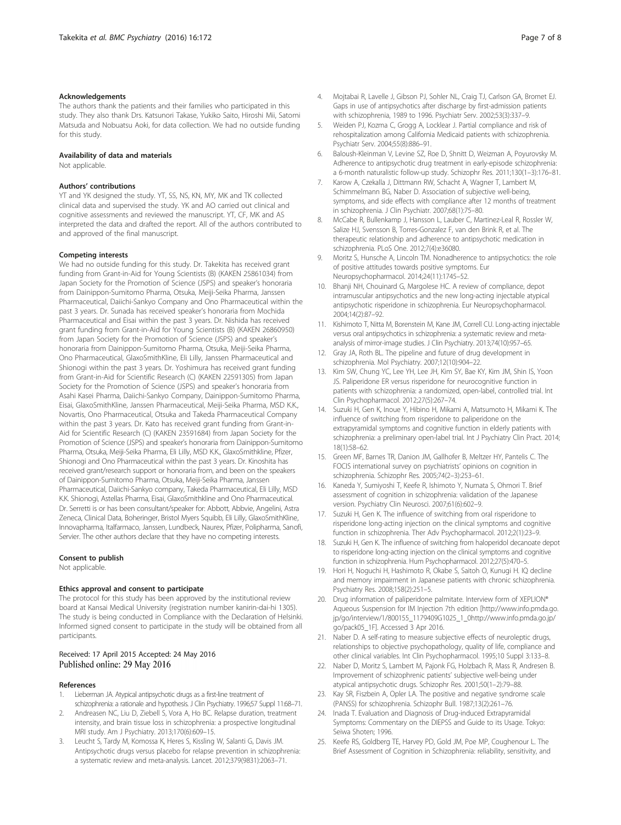#### <span id="page-6-0"></span>Acknowledgements

The authors thank the patients and their families who participated in this study. They also thank Drs. Katsunori Takase, Yukiko Saito, Hiroshi Mii, Satomi Matsuda and Nobuatsu Aoki, for data collection. We had no outside funding for this study.

#### Availability of data and materials

Not applicable.

## Authors' contributions

YT and YK designed the study. YT, SS, NS, KN, MY, MK and TK collected clinical data and supervised the study. YK and AO carried out clinical and cognitive assessments and reviewed the manuscript. YT, CF, MK and AS interpreted the data and drafted the report. All of the authors contributed to and approved of the final manuscript.

#### Competing interests

We had no outside funding for this study. Dr. Takekita has received grant funding from Grant-in-Aid for Young Scientists (B) (KAKEN 25861034) from Japan Society for the Promotion of Science (JSPS) and speaker's honoraria from Dainippon-Sumitomo Pharma, Otsuka, Meiji-Seika Pharma, Janssen Pharmaceutical, Daiichi-Sankyo Company and Ono Pharmaceutical within the past 3 years. Dr. Sunada has received speaker's honoraria from Mochida Pharmaceutical and Eisai within the past 3 years. Dr. Nishida has received grant funding from Grant-in-Aid for Young Scientists (B) (KAKEN 26860950) from Japan Society for the Promotion of Science (JSPS) and speaker's honoraria from Dainippon-Sumitomo Pharma, Otsuka, Meiji-Seika Pharma, Ono Pharmaceutical, GlaxoSmithKline, Eli Lilly, Janssen Pharmaceutical and Shionogi within the past 3 years. Dr. Yoshimura has received grant funding from Grant-in-Aid for Scientific Research (C) (KAKEN 22591305) from Japan Society for the Promotion of Science (JSPS) and speaker's honoraria from Asahi Kasei Pharma, Daiichi-Sankyo Company, Dainippon-Sumitomo Pharma, Eisai, GlaxoSmithKline, Janssen Pharmaceutical, Meiji-Seika Pharma, MSD K.K., Novartis, Ono Pharmaceutical, Otsuka and Takeda Pharmaceutical Company within the past 3 years. Dr. Kato has received grant funding from Grant-in-Aid for Scientific Research (C) (KAKEN 23591684) from Japan Society for the Promotion of Science (JSPS) and speaker's honoraria from Dainippon-Sumitomo Pharma, Otsuka, Meiji-Seika Pharma, Eli Lilly, MSD K.K., GlaxoSmithkline, Pfizer, Shionogi and Ono Pharmaceutical within the past 3 years. Dr. Kinoshita has received grant/research support or honoraria from, and been on the speakers of Dainippon-Sumitomo Pharma, Otsuka, Meiji-Seika Pharma, Janssen Pharmaceutical, Daiichi-Sankyo company, Takeda Pharmaceutical, Eli Lilly, MSD K.K. Shionogi, Astellas Pharma, Eisai, GlaxoSmithkline and Ono Pharmaceutical. Dr. Serretti is or has been consultant/speaker for: Abbott, Abbvie, Angelini, Astra Zeneca, Clinical Data, Boheringer, Bristol Myers Squibb, Eli Lilly, GlaxoSmithKline, Innovapharma, Italfarmaco, Janssen, Lundbeck, Naurex, Pfizer, Polipharma, Sanofi, Servier. The other authors declare that they have no competing interests.

#### Consent to publish

Not applicable.

#### Ethics approval and consent to participate

The protocol for this study has been approved by the institutional review board at Kansai Medical University (registration number kanirin-dai-hi 1305). The study is being conducted in Compliance with the Declaration of Helsinki. Informed signed consent to participate in the study will be obtained from all participants.

#### Received: 17 April 2015 Accepted: 24 May 2016 Published online: 29 May 2016

#### References

- 1. Lieberman JA. Atypical antipsychotic drugs as a first-line treatment of schizophrenia: a rationale and hypothesis. J Clin Psychiatry. 1996;57 Suppl 11:68–71.
- 2. Andreasen NC, Liu D, Ziebell S, Vora A, Ho BC. Relapse duration, treatment intensity, and brain tissue loss in schizophrenia: a prospective longitudinal MRI study. Am J Psychiatry. 2013;170(6):609–15.
- 3. Leucht S, Tardy M, Komossa K, Heres S, Kissling W, Salanti G, Davis JM. Antipsychotic drugs versus placebo for relapse prevention in schizophrenia: a systematic review and meta-analysis. Lancet. 2012;379(9831):2063–71.
- 4. Mojtabai R, Lavelle J, Gibson PJ, Sohler NL, Craig TJ, Carlson GA, Bromet EJ. Gaps in use of antipsychotics after discharge by first-admission patients with schizophrenia, 1989 to 1996. Psychiatr Serv. 2002;53(3):337–9.
- 5. Weiden PJ, Kozma C, Grogg A, Locklear J. Partial compliance and risk of rehospitalization among California Medicaid patients with schizophrenia. Psychiatr Serv. 2004;55(8):886–91.
- 6. Baloush-Kleinman V, Levine SZ, Roe D, Shnitt D, Weizman A, Poyurovsky M. Adherence to antipsychotic drug treatment in early-episode schizophrenia: a 6-month naturalistic follow-up study. Schizophr Res. 2011;130(1–3):176–81.
- 7. Karow A, Czekalla J, Dittmann RW, Schacht A, Wagner T, Lambert M, Schimmelmann BG, Naber D. Association of subjective well-being, symptoms, and side effects with compliance after 12 months of treatment in schizophrenia. J Clin Psychiatr. 2007;68(1):75–80.
- 8. McCabe R, Bullenkamp J, Hansson L, Lauber C, Martinez-Leal R, Rossler W, Salize HJ, Svensson B, Torres-Gonzalez F, van den Brink R, et al. The therapeutic relationship and adherence to antipsychotic medication in schizophrenia. PLoS One. 2012;7(4):e36080.
- 9. Moritz S, Hunsche A, Lincoln TM. Nonadherence to antipsychotics: the role of positive attitudes towards positive symptoms. Eur Neuropsychopharmacol. 2014;24(11):1745–52.
- 10. Bhanji NH, Chouinard G, Margolese HC. A review of compliance, depot intramuscular antipsychotics and the new long-acting injectable atypical antipsychotic risperidone in schizophrenia. Eur Neuropsychopharmacol. 2004;14(2):87–92.
- 11. Kishimoto T, Nitta M, Borenstein M, Kane JM, Correll CU. Long-acting injectable versus oral antipsychotics in schizophrenia: a systematic review and metaanalysis of mirror-image studies. J Clin Psychiatry. 2013;74(10):957–65.
- 12. Gray JA, Roth BL. The pipeline and future of drug development in schizophrenia. Mol Psychiatry. 2007;12(10):904–22.
- 13. Kim SW, Chung YC, Lee YH, Lee JH, Kim SY, Bae KY, Kim JM, Shin IS, Yoon JS. Paliperidone ER versus risperidone for neurocognitive function in patients with schizophrenia: a randomized, open-label, controlled trial. Int Clin Psychopharmacol. 2012;27(5):267–74.
- 14. Suzuki H, Gen K, Inoue Y, Hibino H, Mikami A, Matsumoto H, Mikami K. The influence of switching from risperidone to paliperidone on the extrapyramidal symptoms and cognitive function in elderly patients with schizophrenia: a preliminary open-label trial. Int J Psychiatry Clin Pract. 2014; 18(1):58–62.
- 15. Green MF, Barnes TR, Danion JM, Gallhofer B, Meltzer HY, Pantelis C. The FOCIS international survey on psychiatrists' opinions on cognition in schizophrenia. Schizophr Res. 2005;74(2–3):253–61.
- 16. Kaneda Y, Sumiyoshi T, Keefe R, Ishimoto Y, Numata S, Ohmori T. Brief assessment of cognition in schizophrenia: validation of the Japanese version. Psychiatry Clin Neurosci. 2007;61(6):602–9.
- 17. Suzuki H, Gen K. The influence of switching from oral risperidone to risperidone long-acting injection on the clinical symptoms and cognitive function in schizophrenia. Ther Adv Psychopharmacol. 2012;2(1):23–9.
- 18. Suzuki H, Gen K. The influence of switching from haloperidol decanoate depot to risperidone long-acting injection on the clinical symptoms and cognitive function in schizophrenia. Hum Psychopharmacol. 2012;27(5):470–5.
- 19. Hori H, Noguchi H, Hashimoto R, Okabe S, Saitoh O, Kunugi H. IQ decline and memory impairment in Japanese patients with chronic schizophrenia. Psychiatry Res. 2008;158(2):251–5.
- 20. Drug information of paliperidone palmitate. Interview form of XEPLION® Aqueous Suspension for IM Injection 7th edition [[http://www.info.pmda.go.](http://www.info.pmda.go.jp/go/interview/1/800155_1179409G1025_1_005_1F) [jp/go/interview/1/800155\\_1179409G1025\\_1\\_0http://www.info.pmda.go.jp/](http://www.info.pmda.go.jp/go/interview/1/800155_1179409G1025_1_005_1F) [go/pack05\\_1F](http://www.info.pmda.go.jp/go/interview/1/800155_1179409G1025_1_005_1F)]. Accessed 3 Apr 2016.
- 21. Naber D. A self-rating to measure subjective effects of neuroleptic drugs, relationships to objective psychopathology, quality of life, compliance and other clinical variables. Int Clin Psychopharmacol. 1995;10 Suppl 3:133–8.
- 22. Naber D, Moritz S, Lambert M, Pajonk FG, Holzbach R, Mass R, Andresen B. Improvement of schizophrenic patients' subjective well-being under atypical antipsychotic drugs. Schizophr Res. 2001;50(1–2):79–88.
- 23. Kay SR, Fiszbein A, Opler LA. The positive and negative syndrome scale (PANSS) for schizophrenia. Schizophr Bull. 1987;13(2):261–76.
- 24. Inada T. Evaluation and Diagnosis of Drug-induced Extrapyramidal Symptoms: Commentary on the DIEPSS and Guide to its Usage. Tokyo: Seiwa Shoten; 1996.
- 25. Keefe RS, Goldberg TE, Harvey PD, Gold JM, Poe MP, Coughenour L. The Brief Assessment of Cognition in Schizophrenia: reliability, sensitivity, and